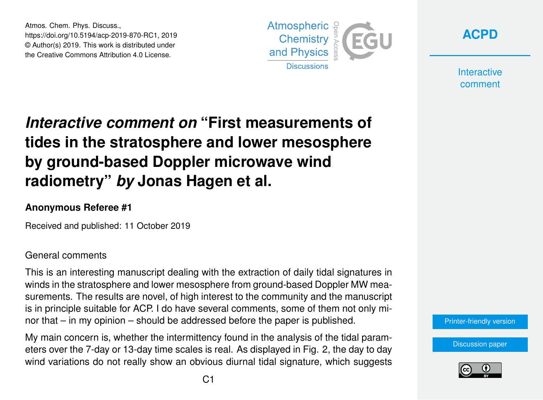Atmos. Chem. Phys. Discuss., https://doi.org/10.5194/acp-2019-870-RC1, 2019 © Author(s) 2019. This work is distributed under the Creative Commons Attribution 4.0 License.



**[ACPD](https://www.atmos-chem-phys-discuss.net/)**

**Interactive** comment

# *Interactive comment on* **"First measurements of tides in the stratosphere and lower mesosphere by ground-based Doppler microwave wind radiometry"** *by* **Jonas Hagen et al.**

### **Anonymous Referee #1**

Received and published: 11 October 2019

#### General comments

This is an interesting manuscript dealing with the extraction of daily tidal signatures in winds in the stratosphere and lower mesosphere from ground-based Doppler MW measurements. The results are novel, of high interest to the community and the manuscript is in principle suitable for ACP. I do have several comments, some of them not only minor that – in my opinion – should be addressed before the paper is published.

My main concern is, whether the intermittency found in the analysis of the tidal parameters over the 7-day or 13-day time scales is real. As displayed in Fig. 2, the day to day wind variations do not really show an obvious diurnal tidal signature, which suggests



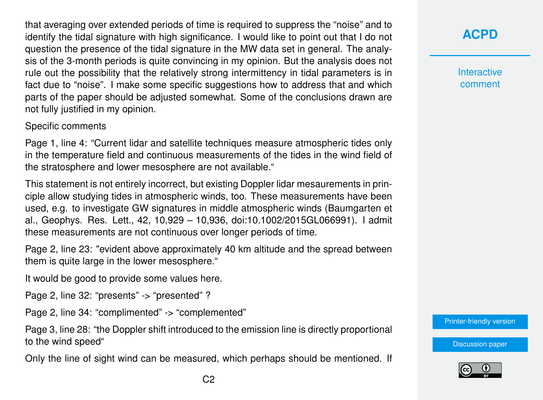that averaging over extended periods of time is required to suppress the "noise" and to identify the tidal signature with high significance. I would like to point out that I do not question the presence of the tidal signature in the MW data set in general. The analysis of the 3-month periods is quite convincing in my opinion. But the analysis does not rule out the possibility that the relatively strong intermittency in tidal parameters is in fact due to "noise". I make some specific suggestions how to address that and which parts of the paper should be adjusted somewhat. Some of the conclusions drawn are not fully justified in my opinion.

Specific comments

Page 1, line 4: "Current lidar and satellite techniques measure atmospheric tides only in the temperature field and continuous measurements of the tides in the wind field of the stratosphere and lower mesosphere are not available."

This statement is not entirely incorrect, but existing Doppler lidar mesaurements in principle allow studying tides in atmospheric winds, too. These measurements have been used, e.g. to investigate GW signatures in middle atmospheric winds (Baumgarten et al., Geophys. Res. Lett., 42, 10,929 – 10,936, doi:10.1002/2015GL066991). I admit these measurements are not continuous over longer periods of time.

Page 2, line 23: "evident above approximately 40 km altitude and the spread between them is quite large in the lower mesosphere."

It would be good to provide some values here.

Page 2, line 32: "presents" -> "presented" ?

Page 2, line 34: "complimented" -> "complemented"

Page 3, line 28: "the Doppler shift introduced to the emission line is directly proportional to the wind speed"

Only the line of sight wind can be measured, which perhaps should be mentioned. If

**[ACPD](https://www.atmos-chem-phys-discuss.net/)**

**Interactive** comment

[Printer-friendly version](https://www.atmos-chem-phys-discuss.net/acp-2019-870/acp-2019-870-RC1-print.pdf)

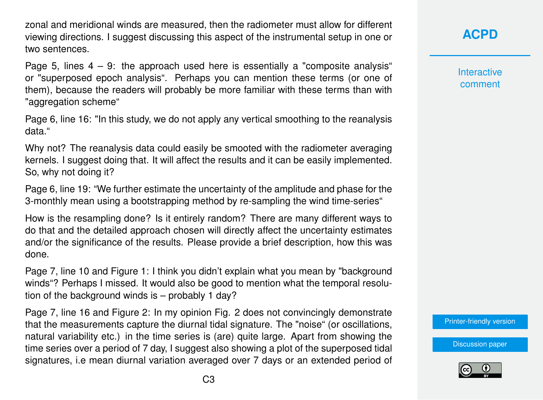zonal and meridional winds are measured, then the radiometer must allow for different viewing directions. I suggest discussing this aspect of the instrumental setup in one or two sentences.

Page 5, lines  $4 - 9$ : the approach used here is essentially a "composite analysis" or "superposed epoch analysis". Perhaps you can mention these terms (or one of them), because the readers will probably be more familiar with these terms than with "aggregation scheme"

Page 6, line 16: "In this study, we do not apply any vertical smoothing to the reanalysis data."

Why not? The reanalysis data could easily be smooted with the radiometer averaging kernels. I suggest doing that. It will affect the results and it can be easily implemented. So, why not doing it?

Page 6, line 19: "We further estimate the uncertainty of the amplitude and phase for the 3-monthly mean using a bootstrapping method by re-sampling the wind time-series"

How is the resampling done? Is it entirely random? There are many different ways to do that and the detailed approach chosen will directly affect the uncertainty estimates and/or the significance of the results. Please provide a brief description, how this was done.

Page 7, line 10 and Figure 1: I think you didn't explain what you mean by "background winds"? Perhaps I missed. It would also be good to mention what the temporal resolution of the background winds is – probably 1 day?

Page 7, line 16 and Figure 2: In my opinion Fig. 2 does not convincingly demonstrate that the measurements capture the diurnal tidal signature. The "noise" (or oscillations, natural variability etc.) in the time series is (are) quite large. Apart from showing the time series over a period of 7 day, I suggest also showing a plot of the superposed tidal signatures, i.e mean diurnal variation averaged over 7 days or an extended period of **[ACPD](https://www.atmos-chem-phys-discuss.net/)**

**Interactive** comment

[Printer-friendly version](https://www.atmos-chem-phys-discuss.net/acp-2019-870/acp-2019-870-RC1-print.pdf)

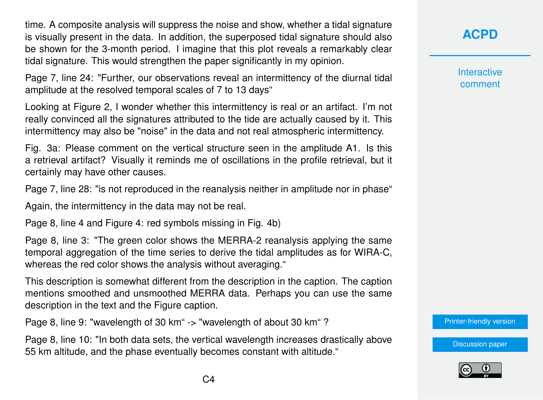time. A composite analysis will suppress the noise and show, whether a tidal signature is visually present in the data. In addition, the superposed tidal signature should also be shown for the 3-month period. I imagine that this plot reveals a remarkably clear tidal signature. This would strengthen the paper significantly in my opinion.

Page 7, line 24: "Further, our observations reveal an intermittency of the diurnal tidal amplitude at the resolved temporal scales of 7 to 13 days"

Looking at Figure 2, I wonder whether this intermittency is real or an artifact. I'm not really convinced all the signatures attributed to the tide are actually caused by it. This intermittency may also be "noise" in the data and not real atmospheric intermittency.

Fig. 3a: Please comment on the vertical structure seen in the amplitude A1. Is this a retrieval artifact? Visually it reminds me of oscillations in the profile retrieval, but it certainly may have other causes.

Page 7, line 28: "is not reproduced in the reanalysis neither in amplitude nor in phase"

Again, the intermittency in the data may not be real.

Page 8, line 4 and Figure 4: red symbols missing in Fig. 4b)

Page 8, line 3: "The green color shows the MERRA-2 reanalysis applying the same temporal aggregation of the time series to derive the tidal amplitudes as for WIRA-C, whereas the red color shows the analysis without averaging."

This description is somewhat different from the description in the caption. The caption mentions smoothed and unsmoothed MERRA data. Perhaps you can use the same description in the text and the Figure caption.

Page 8, line 9: "wavelength of 30 km" -> "wavelength of about 30 km"?

Page 8, line 10: "In both data sets, the vertical wavelength increases drastically above 55 km altitude, and the phase eventually becomes constant with altitude."

**[ACPD](https://www.atmos-chem-phys-discuss.net/)**

**Interactive** comment

[Printer-friendly version](https://www.atmos-chem-phys-discuss.net/acp-2019-870/acp-2019-870-RC1-print.pdf)

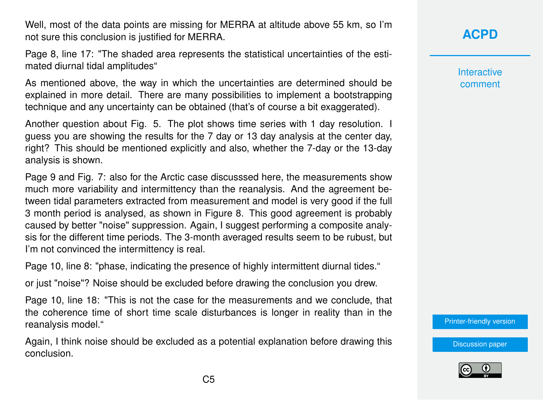Well, most of the data points are missing for MERRA at altitude above 55 km, so I'm not sure this conclusion is justified for MERRA.

Page 8, line 17: "The shaded area represents the statistical uncertainties of the estimated diurnal tidal amplitudes"

As mentioned above, the way in which the uncertainties are determined should be explained in more detail. There are many possibilities to implement a bootstrapping technique and any uncertainty can be obtained (that's of course a bit exaggerated).

Another question about Fig. 5. The plot shows time series with 1 day resolution. I guess you are showing the results for the 7 day or 13 day analysis at the center day, right? This should be mentioned explicitly and also, whether the 7-day or the 13-day analysis is shown.

Page 9 and Fig. 7: also for the Arctic case discusssed here, the measurements show much more variability and intermittency than the reanalysis. And the agreement between tidal parameters extracted from measurement and model is very good if the full 3 month period is analysed, as shown in Figure 8. This good agreement is probably caused by better "noise" suppression. Again, I suggest performing a composite analysis for the different time periods. The 3-month averaged results seem to be rubust, but I'm not convinced the intermittency is real.

Page 10, line 8: "phase, indicating the presence of highly intermittent diurnal tides."

or just "noise"? Noise should be excluded before drawing the conclusion you drew.

Page 10, line 18: "This is not the case for the measurements and we conclude, that the coherence time of short time scale disturbances is longer in reality than in the reanalysis model."

Again, I think noise should be excluded as a potential explanation before drawing this conclusion.

## **[ACPD](https://www.atmos-chem-phys-discuss.net/)**

**Interactive** comment

[Printer-friendly version](https://www.atmos-chem-phys-discuss.net/acp-2019-870/acp-2019-870-RC1-print.pdf)